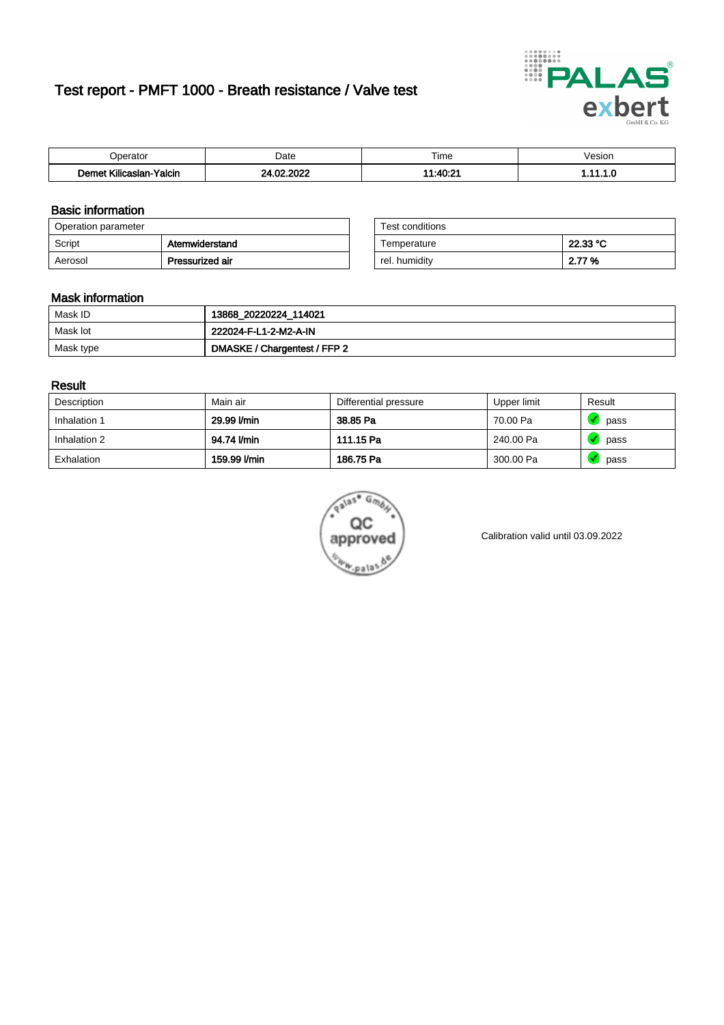# Test report - PMFT 1000 - Breath resistance / Valve test



| Joerator                   | Date                | $- \cdot$<br>Гіmе | esion/ |
|----------------------------|---------------------|-------------------|--------|
| .<br>Yalcin<br>∧ilicaslan- | , nnoc<br>nn.<br>w. | 11.10.24<br>----  | .      |

### Basic information

| Operation parameter |                 | Test conditions |          |
|---------------------|-----------------|-----------------|----------|
| Script              | Atemwiderstand  | Temperature     | 22.33 °C |
| Aerosol             | Pressurized air | rel. humiditv   | 2.77 %   |

| Test conditions |          |
|-----------------|----------|
| Temperature     | 22.33 °C |
| rel. humidity   | 2.77 %   |

#### Mask information

| Mask ID   | 13868_20220224_114021        |
|-----------|------------------------------|
| Mask lot  | 222024-F-L1-2-M2-A-IN        |
| Mask type | DMASKE / Chargentest / FFP 2 |

### Result

| Description  | Main air     | Differential pressure | Upper limit | Result |
|--------------|--------------|-----------------------|-------------|--------|
| Inhalation 1 | 29.99 l/min  | 38.85 Pa              | 70.00 Pa    | pass   |
| Inhalation 2 | 94.74 l/min  | 111.15 Pa             | 240.00 Pa   | pass   |
| Exhalation   | 159.99 l/min | 186.75 Pa             | 300.00 Pa   | pass   |



Calibration valid until 03.09.2022